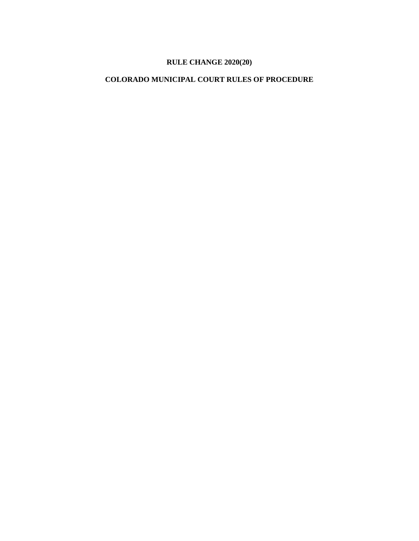# **RULE CHANGE 2020(20)**

## **COLORADO MUNICIPAL COURT RULES OF PROCEDURE**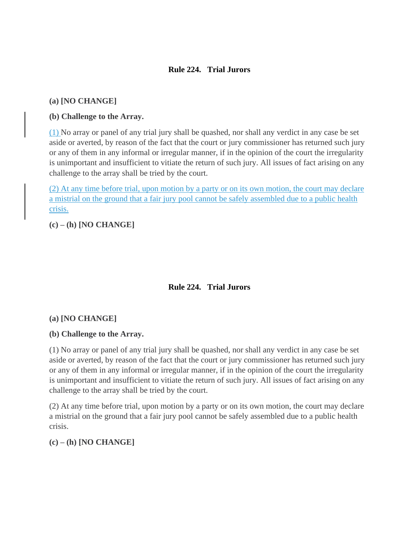### **Rule 224. Trial Jurors**

### **(a) [NO CHANGE]**

### **(b) Challenge to the Array.**

(1) No array or panel of any trial jury shall be quashed, nor shall any verdict in any case be set aside or averted, by reason of the fact that the court or jury commissioner has returned such jury or any of them in any informal or irregular manner, if in the opinion of the court the irregularity is unimportant and insufficient to vitiate the return of such jury. All issues of fact arising on any challenge to the array shall be tried by the court.

(2) At any time before trial, upon motion by a party or on its own motion, the court may declare a mistrial on the ground that a fair jury pool cannot be safely assembled due to a public health crisis.

**(c) – (h) [NO CHANGE]**

# **Rule 224. Trial Jurors**

#### **(a) [NO CHANGE]**

#### **(b) Challenge to the Array.**

(1) No array or panel of any trial jury shall be quashed, nor shall any verdict in any case be set aside or averted, by reason of the fact that the court or jury commissioner has returned such jury or any of them in any informal or irregular manner, if in the opinion of the court the irregularity is unimportant and insufficient to vitiate the return of such jury. All issues of fact arising on any challenge to the array shall be tried by the court.

(2) At any time before trial, upon motion by a party or on its own motion, the court may declare a mistrial on the ground that a fair jury pool cannot be safely assembled due to a public health crisis.

**(c) – (h) [NO CHANGE]**